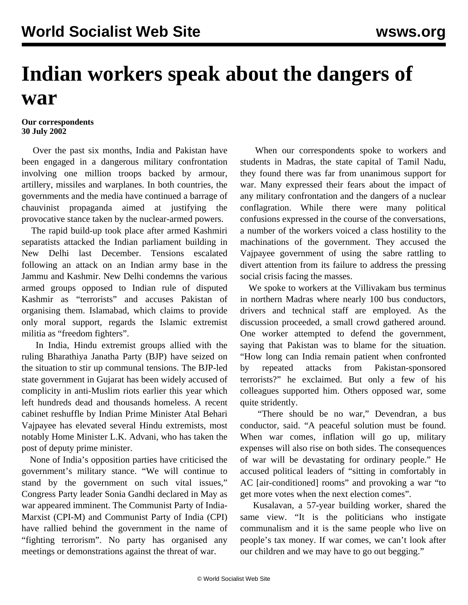## **Indian workers speak about the dangers of war**

## **Our correspondents 30 July 2002**

 Over the past six months, India and Pakistan have been engaged in a dangerous military confrontation involving one million troops backed by armour, artillery, missiles and warplanes. In both countries, the governments and the media have continued a barrage of chauvinist propaganda aimed at justifying the provocative stance taken by the nuclear-armed powers.

 The rapid build-up took place after armed Kashmiri separatists attacked the Indian parliament building in New Delhi last December. Tensions escalated following an attack on an Indian army base in the Jammu and Kashmir. New Delhi condemns the various armed groups opposed to Indian rule of disputed Kashmir as "terrorists" and accuses Pakistan of organising them. Islamabad, which claims to provide only moral support, regards the Islamic extremist militia as "freedom fighters".

 In India, Hindu extremist groups allied with the ruling Bharathiya Janatha Party (BJP) have seized on the situation to stir up communal tensions. The BJP-led state government in Gujarat has been widely accused of complicity in anti-Muslim riots earlier this year which left hundreds dead and thousands homeless. A recent cabinet reshuffle by Indian Prime Minister Atal Behari Vajpayee has elevated several Hindu extremists, most notably Home Minister L.K. Advani, who has taken the post of deputy prime minister.

 None of India's opposition parties have criticised the government's military stance. "We will continue to stand by the government on such vital issues," Congress Party leader Sonia Gandhi declared in May as war appeared imminent. The Communist Party of India-Marxist (CPI-M) and Communist Party of India (CPI) have rallied behind the government in the name of "fighting terrorism". No party has organised any meetings or demonstrations against the threat of war.

 When our correspondents spoke to workers and students in Madras, the state capital of Tamil Nadu, they found there was far from unanimous support for war. Many expressed their fears about the impact of any military confrontation and the dangers of a nuclear conflagration. While there were many political confusions expressed in the course of the conversations, a number of the workers voiced a class hostility to the machinations of the government. They accused the Vajpayee government of using the sabre rattling to divert attention from its failure to address the pressing social crisis facing the masses.

 We spoke to workers at the Villivakam bus terminus in northern Madras where nearly 100 bus conductors, drivers and technical staff are employed. As the discussion proceeded, a small crowd gathered around. One worker attempted to defend the government, saying that Pakistan was to blame for the situation. "How long can India remain patient when confronted by repeated attacks from Pakistan-sponsored terrorists?" he exclaimed. But only a few of his colleagues supported him. Others opposed war, some quite stridently.

 "There should be no war," Devendran, a bus conductor, said. "A peaceful solution must be found. When war comes, inflation will go up, military expenses will also rise on both sides. The consequences of war will be devastating for ordinary people." He accused political leaders of "sitting in comfortably in AC [air-conditioned] rooms" and provoking a war "to get more votes when the next election comes".

 Kusalavan, a 57-year building worker, shared the same view. "It is the politicians who instigate communalism and it is the same people who live on people's tax money. If war comes, we can't look after our children and we may have to go out begging."